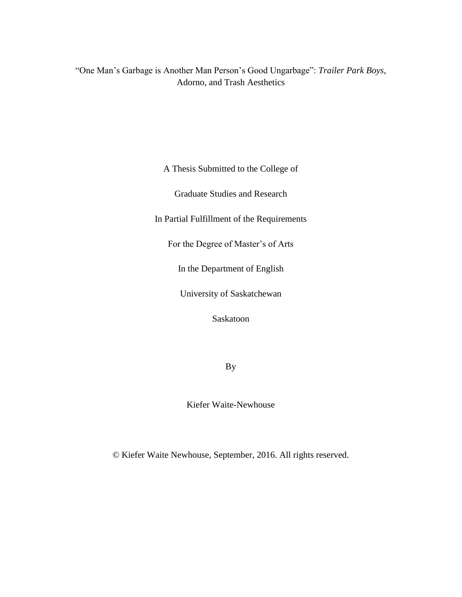"One Man's Garbage is Another Man Person's Good Ungarbage": *Trailer Park Boys*, Adorno, and Trash Aesthetics

A Thesis Submitted to the College of

Graduate Studies and Research

In Partial Fulfillment of the Requirements

For the Degree of Master's of Arts

In the Department of English

University of Saskatchewan

Saskatoon

By

Kiefer Waite-Newhouse

© Kiefer Waite Newhouse, September, 2016. All rights reserved.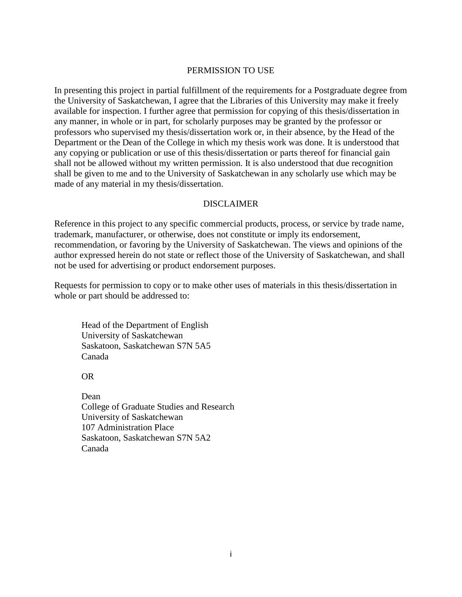# PERMISSION TO USE

In presenting this project in partial fulfillment of the requirements for a Postgraduate degree from the University of Saskatchewan, I agree that the Libraries of this University may make it freely available for inspection. I further agree that permission for copying of this thesis/dissertation in any manner, in whole or in part, for scholarly purposes may be granted by the professor or professors who supervised my thesis/dissertation work or, in their absence, by the Head of the Department or the Dean of the College in which my thesis work was done. It is understood that any copying or publication or use of this thesis/dissertation or parts thereof for financial gain shall not be allowed without my written permission. It is also understood that due recognition shall be given to me and to the University of Saskatchewan in any scholarly use which may be made of any material in my thesis/dissertation.

# DISCLAIMER

Reference in this project to any specific commercial products, process, or service by trade name, trademark, manufacturer, or otherwise, does not constitute or imply its endorsement, recommendation, or favoring by the University of Saskatchewan. The views and opinions of the author expressed herein do not state or reflect those of the University of Saskatchewan, and shall not be used for advertising or product endorsement purposes.

Requests for permission to copy or to make other uses of materials in this thesis/dissertation in whole or part should be addressed to:

Head of the Department of English University of Saskatchewan Saskatoon, Saskatchewan S7N 5A5 Canada

OR

Dean College of Graduate Studies and Research University of Saskatchewan 107 Administration Place Saskatoon, Saskatchewan S7N 5A2 Canada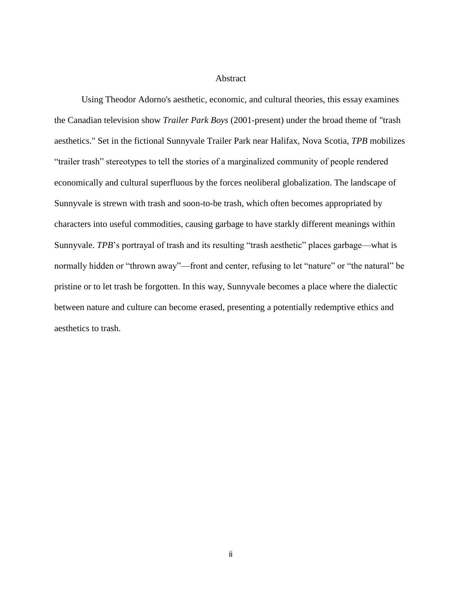### Abstract

Using Theodor Adorno's aesthetic, economic, and cultural theories, this essay examines the Canadian television show *Trailer Park Boys* (2001-present) under the broad theme of "trash aesthetics." Set in the fictional Sunnyvale Trailer Park near Halifax, Nova Scotia, *TPB* mobilizes "trailer trash" stereotypes to tell the stories of a marginalized community of people rendered economically and cultural superfluous by the forces neoliberal globalization. The landscape of Sunnyvale is strewn with trash and soon-to-be trash, which often becomes appropriated by characters into useful commodities, causing garbage to have starkly different meanings within Sunnyvale. *TPB*'s portrayal of trash and its resulting "trash aesthetic" places garbage—what is normally hidden or "thrown away"—front and center, refusing to let "nature" or "the natural" be pristine or to let trash be forgotten. In this way, Sunnyvale becomes a place where the dialectic between nature and culture can become erased, presenting a potentially redemptive ethics and aesthetics to trash.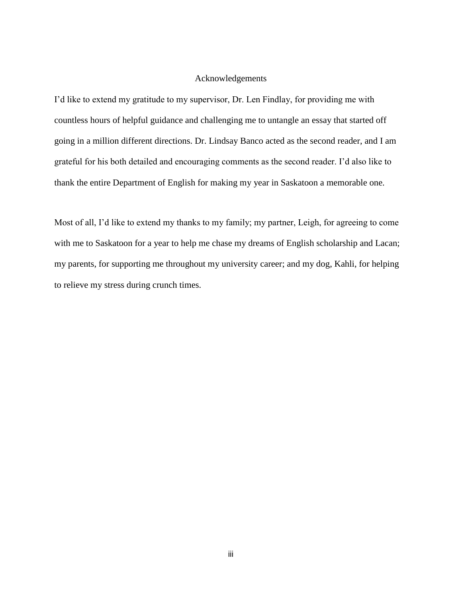### Acknowledgements

I'd like to extend my gratitude to my supervisor, Dr. Len Findlay, for providing me with countless hours of helpful guidance and challenging me to untangle an essay that started off going in a million different directions. Dr. Lindsay Banco acted as the second reader, and I am grateful for his both detailed and encouraging comments as the second reader. I'd also like to thank the entire Department of English for making my year in Saskatoon a memorable one.

Most of all, I'd like to extend my thanks to my family; my partner, Leigh, for agreeing to come with me to Saskatoon for a year to help me chase my dreams of English scholarship and Lacan; my parents, for supporting me throughout my university career; and my dog, Kahli, for helping to relieve my stress during crunch times.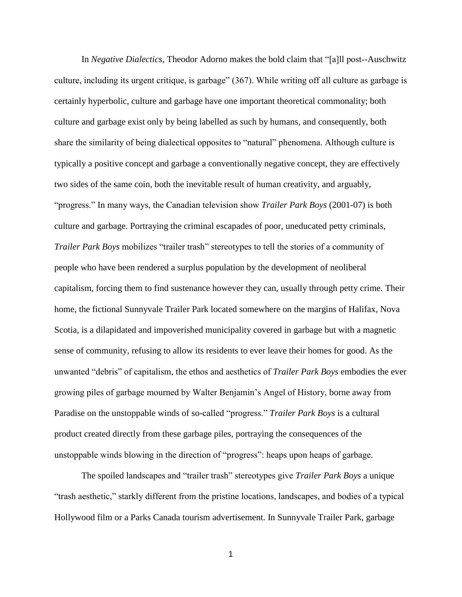In *Negative Dialectics*, Theodor Adorno makes the bold claim that "[a]ll post-Auschwitz culture, including its urgent critique, is garbage" (367). While writing off all culture as garbage is certainly hyperbolic, culture and garbage have one important theoretical commonality; both culture and garbage exist only by being labelled as such by humans, and consequently, both share the similarity of being dialectical opposites to "natural" phenomena. Although culture is typically a positive concept and garbage a conventionally negative concept, they are effectively two sides of the same coin, both the inevitable result of human creativity, and arguably, "progress." In many ways, the Canadian television show *Trailer Park Boys* (2001-07) is both culture and garbage. Portraying the criminal escapades of poor, uneducated petty criminals, *Trailer Park Boys* mobilizes "trailer trash" stereotypes to tell the stories of a community of people who have been rendered a surplus population by the development of neoliberal capitalism, forcing them to find sustenance however they can, usually through petty crime. Their home, the fictional Sunnyvale Trailer Park located somewhere on the margins of Halifax, Nova Scotia, is a dilapidated and impoverished municipality covered in garbage but with a magnetic sense of community, refusing to allow its residents to ever leave their homes for good. As the unwanted "debris" of capitalism, the ethos and aesthetics of *Trailer Park Boys* embodies the ever growing piles of garbage mourned by Walter Benjamin's Angel of History, borne away from Paradise on the unstoppable winds of so-called "progress." *Trailer Park Boys* is a cultural product created directly from these garbage piles, portraying the consequences of the unstoppable winds blowing in the direction of "progress": heaps upon heaps of garbage.

The spoiled landscapes and "trailer trash" stereotypes give *Trailer Park Boys* a unique "trash aesthetic," starkly different from the pristine locations, landscapes, and bodies of a typical Hollywood film or a Parks Canada tourism advertisement. In Sunnyvale Trailer Park, garbage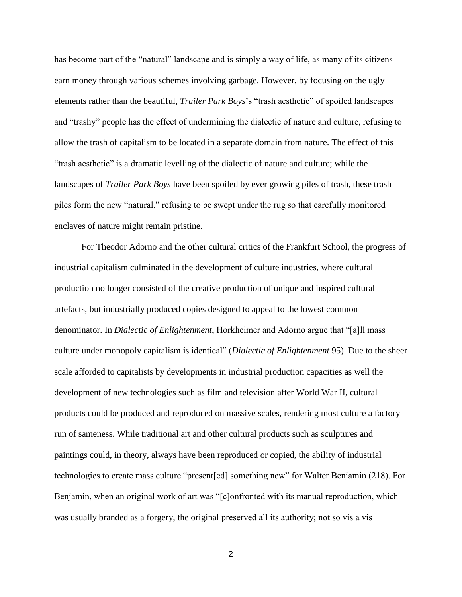has become part of the "natural" landscape and is simply a way of life, as many of its citizens earn money through various schemes involving garbage. However, by focusing on the ugly elements rather than the beautiful, *Trailer Park Boys*'s "trash aesthetic" of spoiled landscapes and "trashy" people has the effect of undermining the dialectic of nature and culture, refusing to allow the trash of capitalism to be located in a separate domain from nature. The effect of this "trash aesthetic" is a dramatic levelling of the dialectic of nature and culture; while the landscapes of *Trailer Park Boys* have been spoiled by ever growing piles of trash, these trash piles form the new "natural," refusing to be swept under the rug so that carefully monitored enclaves of nature might remain pristine.

For Theodor Adorno and the other cultural critics of the Frankfurt School, the progress of industrial capitalism culminated in the development of culture industries, where cultural production no longer consisted of the creative production of unique and inspired cultural artefacts, but industrially produced copies designed to appeal to the lowest common denominator. In *Dialectic of Enlightenment*, Horkheimer and Adorno argue that "[a]ll mass culture under monopoly capitalism is identical" (*Dialectic of Enlightenment* 95). Due to the sheer scale afforded to capitalists by developments in industrial production capacities as well the development of new technologies such as film and television after World War II, cultural products could be produced and reproduced on massive scales, rendering most culture a factory run of sameness. While traditional art and other cultural products such as sculptures and paintings could, in theory, always have been reproduced or copied, the ability of industrial technologies to create mass culture "present[ed] something new" for Walter Benjamin (218). For Benjamin, when an original work of art was "[c]onfronted with its manual reproduction, which was usually branded as a forgery, the original preserved all its authority; not so vis a vis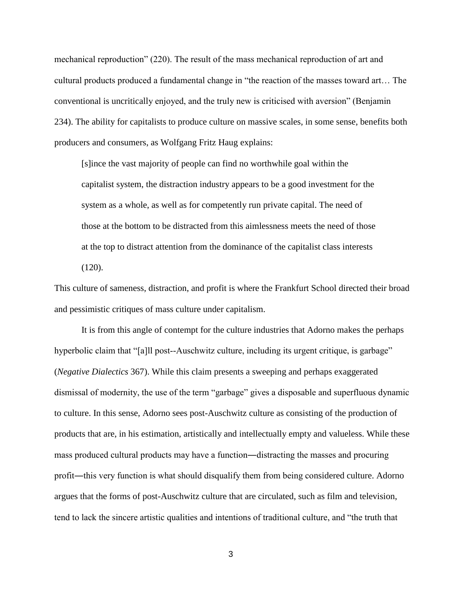mechanical reproduction" (220). The result of the mass mechanical reproduction of art and cultural products produced a fundamental change in "the reaction of the masses toward art… The conventional is uncritically enjoyed, and the truly new is criticised with aversion" (Benjamin 234). The ability for capitalists to produce culture on massive scales, in some sense, benefits both producers and consumers, as Wolfgang Fritz Haug explains:

[s]ince the vast majority of people can find no worthwhile goal within the capitalist system, the distraction industry appears to be a good investment for the system as a whole, as well as for competently run private capital. The need of those at the bottom to be distracted from this aimlessness meets the need of those at the top to distract attention from the dominance of the capitalist class interests (120).

This culture of sameness, distraction, and profit is where the Frankfurt School directed their broad and pessimistic critiques of mass culture under capitalism.

It is from this angle of contempt for the culture industries that Adorno makes the perhaps hyperbolic claim that "[a]ll post--Auschwitz culture, including its urgent critique, is garbage" (*Negative Dialectics* 367). While this claim presents a sweeping and perhaps exaggerated dismissal of modernity, the use of the term "garbage" gives a disposable and superfluous dynamic to culture. In this sense, Adorno sees post-Auschwitz culture as consisting of the production of products that are, in his estimation, artistically and intellectually empty and valueless. While these mass produced cultural products may have a function―distracting the masses and procuring profit—this very function is what should disqualify them from being considered culture. Adorno argues that the forms of post-Auschwitz culture that are circulated, such as film and television, tend to lack the sincere artistic qualities and intentions of traditional culture, and "the truth that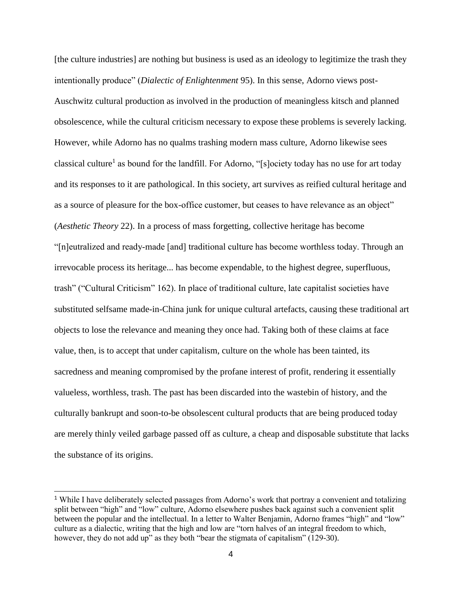[the culture industries] are nothing but business is used as an ideology to legitimize the trash they intentionally produce" (*Dialectic of Enlightenment* 95). In this sense, Adorno views post-Auschwitz cultural production as involved in the production of meaningless kitsch and planned obsolescence, while the cultural criticism necessary to expose these problems is severely lacking. However, while Adorno has no qualms trashing modern mass culture, Adorno likewise sees classical culture<sup>1</sup> as bound for the landfill. For Adorno, "[s]ociety today has no use for art today and its responses to it are pathological. In this society, art survives as reified cultural heritage and as a source of pleasure for the box-office customer, but ceases to have relevance as an object" (*Aesthetic Theory* 22). In a process of mass forgetting, collective heritage has become "[n]eutralized and readymade [and] traditional culture has become worthless today. Through an irrevocable process its heritage... has become expendable, to the highest degree, superfluous, trash" ("Cultural Criticism" 162). In place of traditional culture, late capitalist societies have substituted selfsame made-in-China junk for unique cultural artefacts, causing these traditional art objects to lose the relevance and meaning they once had. Taking both of these claims at face value, then, is to accept that under capitalism, culture on the whole has been tainted, its sacredness and meaning compromised by the profane interest of profit, rendering it essentially valueless, worthless, trash. The past has been discarded into the wastebin of history, and the culturally bankrupt and soon-to-be obsolescent cultural products that are being produced today are merely thinly veiled garbage passed off as culture, a cheap and disposable substitute that lacks the substance of its origins.

<sup>&</sup>lt;sup>1</sup> While I have deliberately selected passages from Adorno's work that portray a convenient and totalizing split between "high" and "low" culture, Adorno elsewhere pushes back against such a convenient split between the popular and the intellectual. In a letter to Walter Benjamin, Adorno frames "high" and "low" culture as a dialectic, writing that the high and low are "torn halves of an integral freedom to which, however, they do not add up" as they both "bear the stigmata of capitalism" (129-30).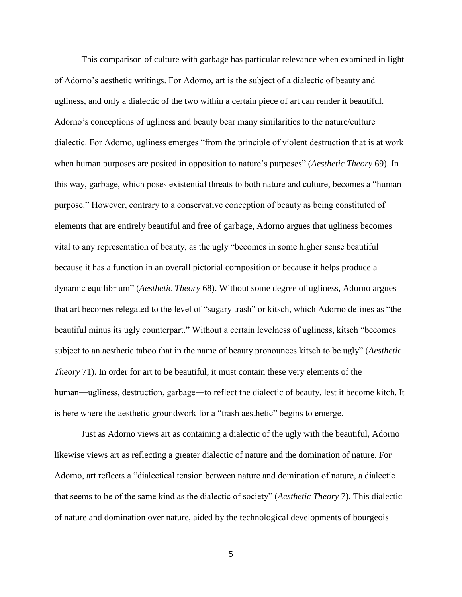This comparison of culture with garbage has particular relevance when examined in light of Adorno's aesthetic writings. For Adorno, art is the subject of a dialectic of beauty and ugliness, and only a dialectic of the two within a certain piece of art can render it beautiful. Adorno's conceptions of ugliness and beauty bear many similarities to the nature/culture dialectic. For Adorno, ugliness emerges "from the principle of violent destruction that is at work when human purposes are posited in opposition to nature's purposes" (*Aesthetic Theory* 69). In this way, garbage, which poses existential threats to both nature and culture, becomes a "human purpose." However, contrary to a conservative conception of beauty as being constituted of elements that are entirely beautiful and free of garbage, Adorno argues that ugliness becomes vital to any representation of beauty, as the ugly "becomes in some higher sense beautiful because it has a function in an overall pictorial composition or because it helps produce a dynamic equilibrium" (*Aesthetic Theory* 68). Without some degree of ugliness, Adorno argues that art becomes relegated to the level of "sugary trash" or kitsch, which Adorno defines as "the beautiful minus its ugly counterpart." Without a certain levelness of ugliness, kitsch "becomes subject to an aesthetic taboo that in the name of beauty pronounces kitsch to be ugly" (*Aesthetic Theory* 71). In order for art to be beautiful, it must contain these very elements of the human—ugliness, destruction, garbage—to reflect the dialectic of beauty, lest it become kitch. It is here where the aesthetic groundwork for a "trash aesthetic" begins to emerge.

Just as Adorno views art as containing a dialectic of the ugly with the beautiful, Adorno likewise views art as reflecting a greater dialectic of nature and the domination of nature. For Adorno, art reflects a "dialectical tension between nature and domination of nature, a dialectic that seems to be of the same kind as the dialectic of society" (*Aesthetic Theory* 7). This dialectic of nature and domination over nature, aided by the technological developments of bourgeois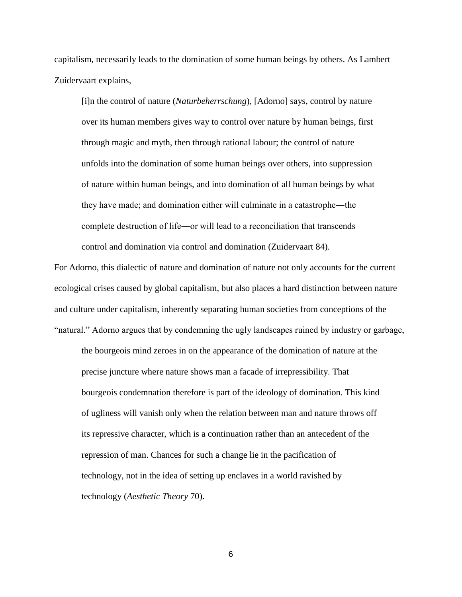capitalism, necessarily leads to the domination of some human beings by others. As Lambert Zuidervaart explains,

[i]n the control of nature (*Naturbeherrschung*), [Adorno] says, control by nature over its human members gives way to control over nature by human beings, first through magic and myth, then through rational labour; the control of nature unfolds into the domination of some human beings over others, into suppression of nature within human beings, and into domination of all human beings by what they have made; and domination either will culminate in a catastrophe―the complete destruction of life―or will lead to a reconciliation that transcends control and domination via control and domination (Zuidervaart 84).

For Adorno, this dialectic of nature and domination of nature not only accounts for the current ecological crises caused by global capitalism, but also places a hard distinction between nature and culture under capitalism, inherently separating human societies from conceptions of the "natural." Adorno argues that by condemning the ugly landscapes ruined by industry or garbage,

the bourgeois mind zeroes in on the appearance of the domination of nature at the precise juncture where nature shows man a facade of irrepressibility. That bourgeois condemnation therefore is part of the ideology of domination. This kind of ugliness will vanish only when the relation between man and nature throws off its repressive character, which is a continuation rather than an antecedent of the repression of man. Chances for such a change lie in the pacification of technology, not in the idea of setting up enclaves in a world ravished by technology (*Aesthetic Theory* 70).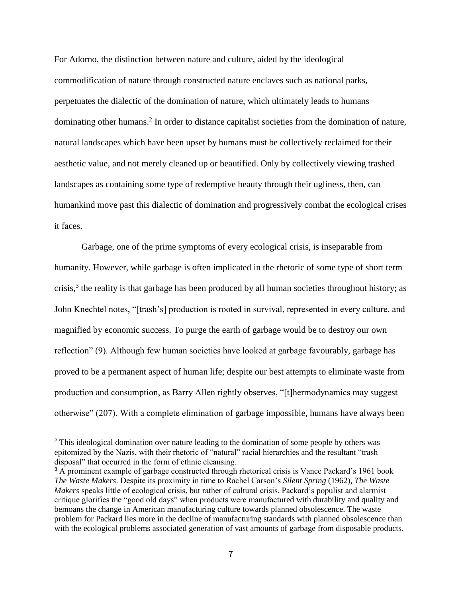For Adorno, the distinction between nature and culture, aided by the ideological commodification of nature through constructed nature enclaves such as national parks, perpetuates the dialectic of the domination of nature, which ultimately leads to humans dominating other humans.<sup>2</sup> In order to distance capitalist societies from the domination of nature, natural landscapes which have been upset by humans must be collectively reclaimed for their aesthetic value, and not merely cleaned up or beautified. Only by collectively viewing trashed landscapes as containing some type of redemptive beauty through their ugliness, then, can humankind move past this dialectic of domination and progressively combat the ecological crises it faces.

Garbage, one of the prime symptoms of every ecological crisis, is inseparable from humanity. However, while garbage is often implicated in the rhetoric of some type of short term crisis, $3$  the reality is that garbage has been produced by all human societies throughout history; as John Knechtel notes, "[trash's] production is rooted in survival, represented in every culture, and magnified by economic success. To purge the earth of garbage would be to destroy our own reflection" (9). Although few human societies have looked at garbage favourably, garbage has proved to be a permanent aspect of human life; despite our best attempts to eliminate waste from production and consumption, as Barry Allen rightly observes, "[t]hermodynamics may suggest otherwise" (207). With a complete elimination of garbage impossible, humans have always been

<sup>&</sup>lt;sup>2</sup> This ideological domination over nature leading to the domination of some people by others was epitomized by the Nazis, with their rhetoric of "natural" racial hierarchies and the resultant "trash disposal" that occurred in the form of ethnic cleansing.

<sup>&</sup>lt;sup>3</sup> A prominent example of garbage constructed through rhetorical crisis is Vance Packard's 1961 book *The Waste Makers*. Despite its proximity in time to Rachel Carson's *Silent Spring* (1962), *The Waste Makers* speaks little of ecological crisis, but rather of cultural crisis. Packard's populist and alarmist critique glorifies the "good old days" when products were manufactured with durability and quality and bemoans the change in American manufacturing culture towards planned obsolescence. The waste problem for Packard lies more in the decline of manufacturing standards with planned obsolescence than with the ecological problems associated generation of vast amounts of garbage from disposable products.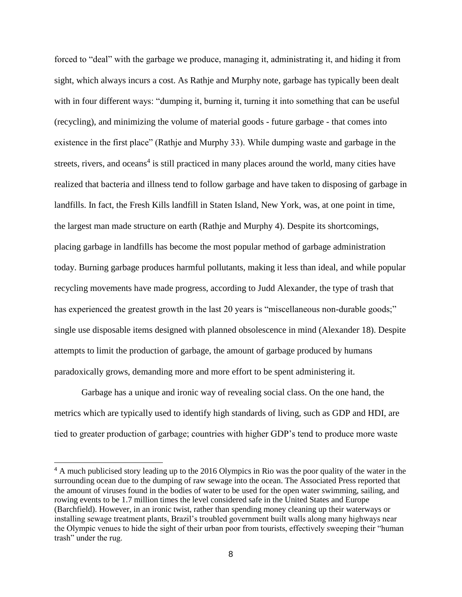forced to "deal" with the garbage we produce, managing it, administrating it, and hiding it from sight, which always incurs a cost. As Rathje and Murphy note, garbage has typically been dealt with in four different ways: "dumping it, burning it, turning it into something that can be useful (recycling), and minimizing the volume of material goods - future garbage - that comes into existence in the first place" (Rathje and Murphy 33). While dumping waste and garbage in the streets, rivers, and oceans<sup>4</sup> is still practiced in many places around the world, many cities have realized that bacteria and illness tend to follow garbage and have taken to disposing of garbage in landfills. In fact, the Fresh Kills landfill in Staten Island, New York, was, at one point in time, the largest man made structure on earth (Rathje and Murphy 4). Despite its shortcomings, placing garbage in landfills has become the most popular method of garbage administration today. Burning garbage produces harmful pollutants, making it less than ideal, and while popular recycling movements have made progress, according to Judd Alexander, the type of trash that has experienced the greatest growth in the last 20 years is "miscellaneous non-durable goods;" single use disposable items designed with planned obsolescence in mind (Alexander 18). Despite attempts to limit the production of garbage, the amount of garbage produced by humans paradoxically grows, demanding more and more effort to be spent administering it.

Garbage has a unique and ironic way of revealing social class. On the one hand, the metrics which are typically used to identify high standards of living, such as GDP and HDI, are tied to greater production of garbage; countries with higher GDP's tend to produce more waste

 $\overline{a}$ 

<sup>&</sup>lt;sup>4</sup> A much publicised story leading up to the 2016 Olympics in Rio was the poor quality of the water in the surrounding ocean due to the dumping of raw sewage into the ocean. The Associated Press reported that the amount of viruses found in the bodies of water to be used for the open water swimming, sailing, and rowing events to be 1.7 million times the level considered safe in the United States and Europe (Barchfield). However, in an ironic twist, rather than spending money cleaning up their waterways or installing sewage treatment plants, Brazil's troubled government built walls along many highways near the Olympic venues to hide the sight of their urban poor from tourists, effectively sweeping their "human trash" under the rug.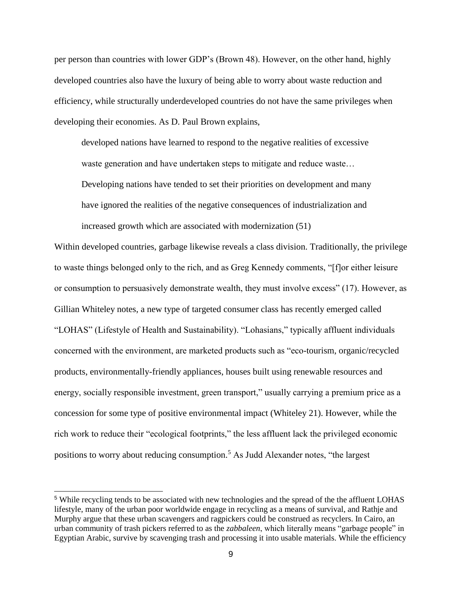per person than countries with lower GDP's (Brown 48). However, on the other hand, highly developed countries also have the luxury of being able to worry about waste reduction and efficiency, while structurally underdeveloped countries do not have the same privileges when developing their economies. As D. Paul Brown explains,

developed nations have learned to respond to the negative realities of excessive waste generation and have undertaken steps to mitigate and reduce waste…

Developing nations have tended to set their priorities on development and many

have ignored the realities of the negative consequences of industrialization and

increased growth which are associated with modernization (51)

Within developed countries, garbage likewise reveals a class division. Traditionally, the privilege to waste things belonged only to the rich, and as Greg Kennedy comments, "[f]or either leisure or consumption to persuasively demonstrate wealth, they must involve excess" (17). However, as Gillian Whiteley notes, a new type of targeted consumer class has recently emerged called "LOHAS" (Lifestyle of Health and Sustainability). "Lohasians," typically affluent individuals concerned with the environment, are marketed products such as "eco-tourism, organic/recycled products, environmentally-friendly appliances, houses built using renewable resources and energy, socially responsible investment, green transport," usually carrying a premium price as a concession for some type of positive environmental impact (Whiteley 21). However, while the rich work to reduce their "ecological footprints," the less affluent lack the privileged economic positions to worry about reducing consumption.<sup>5</sup> As Judd Alexander notes, "the largest

<sup>5</sup> While recycling tends to be associated with new technologies and the spread of the the affluent LOHAS lifestyle, many of the urban poor worldwide engage in recycling as a means of survival, and Rathje and Murphy argue that these urban scavengers and ragpickers could be construed as recyclers. In Cairo, an urban community of trash pickers referred to as the *zabbaleen*, which literally means "garbage people" in Egyptian Arabic, survive by scavenging trash and processing it into usable materials. While the efficiency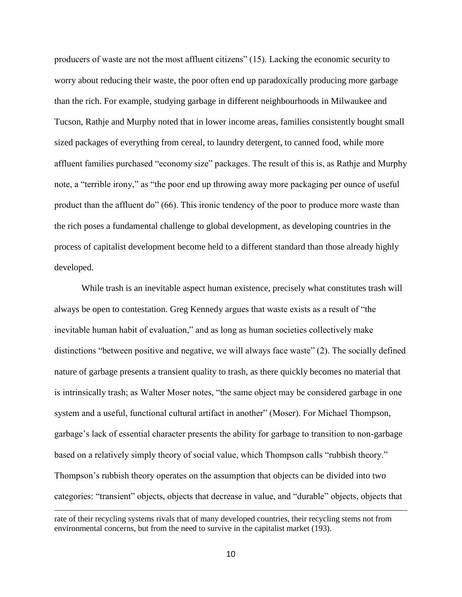producers of waste are not the most affluent citizens" (15). Lacking the economic security to worry about reducing their waste, the poor often end up paradoxically producing more garbage than the rich. For example, studying garbage in different neighbourhoods in Milwaukee and Tucson, Rathje and Murphy noted that in lower income areas, families consistently bought small sized packages of everything from cereal, to laundry detergent, to canned food, while more affluent families purchased "economy size" packages. The result of this is, as Rathje and Murphy note, a "terrible irony," as "the poor end up throwing away more packaging per ounce of useful product than the affluent do" (66). This ironic tendency of the poor to produce more waste than the rich poses a fundamental challenge to global development, as developing countries in the process of capitalist development become held to a different standard than those already highly developed.

While trash is an inevitable aspect human existence, precisely what constitutes trash will always be open to contestation. Greg Kennedy argues that waste exists as a result of "the inevitable human habit of evaluation," and as long as human societies collectively make distinctions "between positive and negative, we will always face waste" (2). The socially defined nature of garbage presents a transient quality to trash, as there quickly becomes no material that is intrinsically trash; as Walter Moser notes, "the same object may be considered garbage in one system and a useful, functional cultural artifact in another" (Moser). For Michael Thompson, garbage's lack of essential character presents the ability for garbage to transition to non-garbage based on a relatively simply theory of social value, which Thompson calls "rubbish theory." Thompson's rubbish theory operates on the assumption that objects can be divided into two categories: "transient" objects, objects that decrease in value, and "durable" objects, objects that

rate of their recycling systems rivals that of many developed countries, their recycling stems not from environmental concerns, but from the need to survive in the capitalist market (193).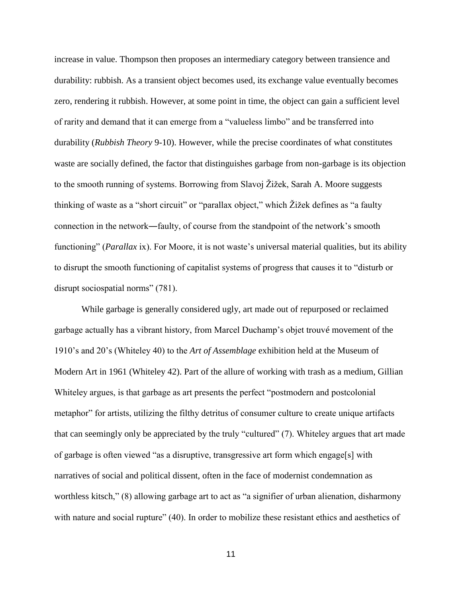increase in value. Thompson then proposes an intermediary category between transience and durability: rubbish. As a transient object becomes used, its exchange value eventually becomes zero, rendering it rubbish. However, at some point in time, the object can gain a sufficient level of rarity and demand that it can emerge from a "valueless limbo" and be transferred into durability (*Rubbish Theory* 9-10). However, while the precise coordinates of what constitutes waste are socially defined, the factor that distinguishes garbage from non-garbage is its objection to the smooth running of systems. Borrowing from Slavoj Žižek, Sarah A. Moore suggests thinking of waste as a "short circuit" or "parallax object," which Žižek defines as "a faulty connection in the network―faulty, of course from the standpoint of the network's smooth functioning" (*Parallax* ix). For Moore, it is not waste's universal material qualities, but its ability to disrupt the smooth functioning of capitalist systems of progress that causes it to "disturb or disrupt sociospatial norms" (781).

While garbage is generally considered ugly, art made out of repurposed or reclaimed garbage actually has a vibrant history, from Marcel Duchamp's objet trouvé movement of the 1910's and 20's (Whiteley 40) to the *Art of Assemblage* exhibition held at the Museum of Modern Art in 1961 (Whiteley 42). Part of the allure of working with trash as a medium, Gillian Whiteley argues, is that garbage as art presents the perfect "postmodern and postcolonial metaphor" for artists, utilizing the filthy detritus of consumer culture to create unique artifacts that can seemingly only be appreciated by the truly "cultured" (7). Whiteley argues that art made of garbage is often viewed "as a disruptive, transgressive art form which engage[s] with narratives of social and political dissent, often in the face of modernist condemnation as worthless kitsch," (8) allowing garbage art to act as "a signifier of urban alienation, disharmony with nature and social rupture" (40). In order to mobilize these resistant ethics and aesthetics of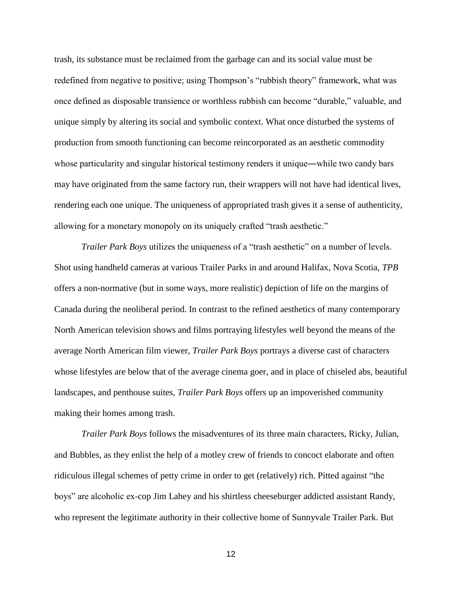trash, its substance must be reclaimed from the garbage can and its social value must be redefined from negative to positive; using Thompson's "rubbish theory" framework, what was once defined as disposable transience or worthless rubbish can become "durable," valuable, and unique simply by altering its social and symbolic context. What once disturbed the systems of production from smooth functioning can become reincorporated as an aesthetic commodity whose particularity and singular historical testimony renders it unique—while two candy bars may have originated from the same factory run, their wrappers will not have had identical lives, rendering each one unique. The uniqueness of appropriated trash gives it a sense of authenticity, allowing for a monetary monopoly on its uniquely crafted "trash aesthetic."

*Trailer Park Boys* utilizes the uniqueness of a "trash aesthetic" on a number of levels. Shot using handheld cameras at various Trailer Parks in and around Halifax, Nova Scotia, *TPB* offers a non-normative (but in some ways, more realistic) depiction of life on the margins of Canada during the neoliberal period. In contrast to the refined aesthetics of many contemporary North American television shows and films portraying lifestyles well beyond the means of the average North American film viewer, *Trailer Park Boys* portrays a diverse cast of characters whose lifestyles are below that of the average cinema goer*,* and in place of chiseled abs, beautiful landscapes, and penthouse suites, *Trailer Park Boys* offers up an impoverished community making their homes among trash.

*Trailer Park Boys* follows the misadventures of its three main characters, Ricky, Julian, and Bubbles, as they enlist the help of a motley crew of friends to concoct elaborate and often ridiculous illegal schemes of petty crime in order to get (relatively) rich. Pitted against "the boys" are alcoholic ex-cop Jim Lahey and his shirtless cheeseburger addicted assistant Randy, who represent the legitimate authority in their collective home of Sunnyvale Trailer Park. But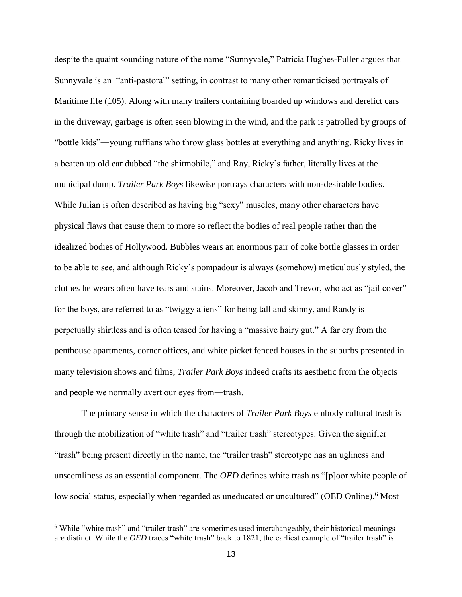despite the quaint sounding nature of the name "Sunnyvale," Patricia Hughes-Fuller argues that Sunnyvale is an "anti-pastoral" setting, in contrast to many other romanticised portrayals of Maritime life (105). Along with many trailers containing boarded up windows and derelict cars in the driveway, garbage is often seen blowing in the wind, and the park is patrolled by groups of "bottle kids"―young ruffians who throw glass bottles at everything and anything. Ricky lives in a beaten up old car dubbed "the shitmobile," and Ray, Ricky's father, literally lives at the municipal dump. *Trailer Park Boys* likewise portrays characters with non-desirable bodies. While Julian is often described as having big "sexy" muscles, many other characters have physical flaws that cause them to more so reflect the bodies of real people rather than the idealized bodies of Hollywood. Bubbles wears an enormous pair of coke bottle glasses in order to be able to see, and although Ricky's pompadour is always (somehow) meticulously styled, the clothes he wears often have tears and stains. Moreover, Jacob and Trevor, who act as "jail cover" for the boys, are referred to as "twiggy aliens" for being tall and skinny, and Randy is perpetually shirtless and is often teased for having a "massive hairy gut." A far cry from the penthouse apartments, corner offices, and white picket fenced houses in the suburbs presented in many television shows and films, *Trailer Park Boys* indeed crafts its aesthetic from the objects and people we normally avert our eyes from―trash.

The primary sense in which the characters of *Trailer Park Boys* embody cultural trash is through the mobilization of "white trash" and "trailer trash" stereotypes. Given the signifier "trash" being present directly in the name, the "trailer trash" stereotype has an ugliness and unseemliness as an essential component. The *OED* defines white trash as "[p]oor white people of low social status, especially when regarded as uneducated or uncultured" (OED Online).<sup>6</sup> Most

<sup>6</sup> While "white trash" and "trailer trash" are sometimes used interchangeably, their historical meanings are distinct. While the *OED* traces "white trash" back to 1821, the earliest example of "trailer trash" is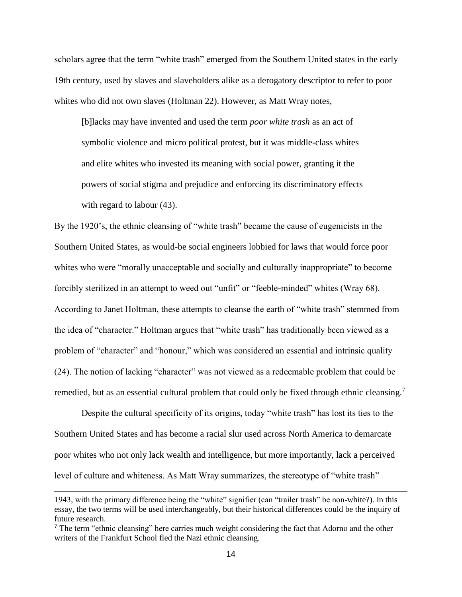scholars agree that the term "white trash" emerged from the Southern United states in the early 19th century, used by slaves and slaveholders alike as a derogatory descriptor to refer to poor whites who did not own slaves (Holtman 22). However, as Matt Wray notes,

[b]lacks may have invented and used the term *poor white trash* as an act of symbolic violence and micro political protest, but it was middle-class whites and elite whites who invested its meaning with social power, granting it the powers of social stigma and prejudice and enforcing its discriminatory effects with regard to labour (43).

By the 1920's, the ethnic cleansing of "white trash" became the cause of eugenicists in the Southern United States, as would-be social engineers lobbied for laws that would force poor whites who were "morally unacceptable and socially and culturally inappropriate" to become forcibly sterilized in an attempt to weed out "unfit" or "feeble-minded" whites (Wray 68). According to Janet Holtman, these attempts to cleanse the earth of "white trash" stemmed from the idea of "character." Holtman argues that "white trash" has traditionally been viewed as a problem of "character" and "honour," which was considered an essential and intrinsic quality (24). The notion of lacking "character" was not viewed as a redeemable problem that could be remedied, but as an essential cultural problem that could only be fixed through ethnic cleansing.<sup>7</sup>

Despite the cultural specificity of its origins, today "white trash" has lost its ties to the Southern United States and has become a racial slur used across North America to demarcate poor whites who not only lack wealth and intelligence, but more importantly, lack a perceived level of culture and whiteness. As Matt Wray summarizes, the stereotype of "white trash"

<sup>1943,</sup> with the primary difference being the "white" signifier (can "trailer trash" be non-white?). In this essay, the two terms will be used interchangeably, but their historical differences could be the inquiry of future research.

<sup>&</sup>lt;sup>7</sup> The term "ethnic cleansing" here carries much weight considering the fact that Adorno and the other writers of the Frankfurt School fled the Nazi ethnic cleansing.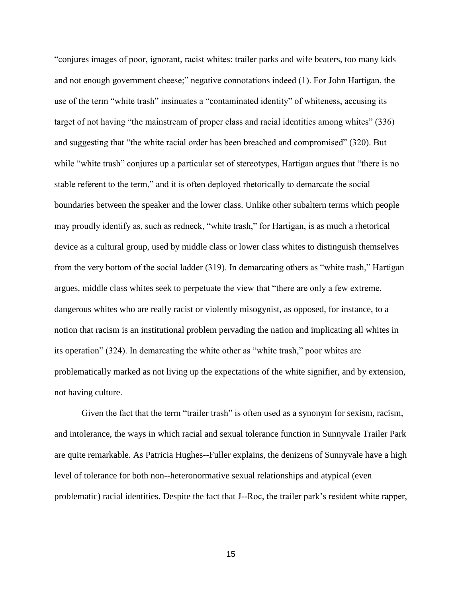"conjures images of poor, ignorant, racist whites: trailer parks and wife beaters, too many kids and not enough government cheese;" negative connotations indeed (1). For John Hartigan, the use of the term "white trash" insinuates a "contaminated identity" of whiteness, accusing its target of not having "the mainstream of proper class and racial identities among whites" (336) and suggesting that "the white racial order has been breached and compromised" (320). But while "white trash" conjures up a particular set of stereotypes, Hartigan argues that "there is no stable referent to the term," and it is often deployed rhetorically to demarcate the social boundaries between the speaker and the lower class. Unlike other subaltern terms which people may proudly identify as, such as redneck, "white trash," for Hartigan, is as much a rhetorical device as a cultural group, used by middle class or lower class whites to distinguish themselves from the very bottom of the social ladder (319). In demarcating others as "white trash," Hartigan argues, middle class whites seek to perpetuate the view that "there are only a few extreme, dangerous whites who are really racist or violently misogynist, as opposed, for instance, to a notion that racism is an institutional problem pervading the nation and implicating all whites in its operation" (324). In demarcating the white other as "white trash," poor whites are problematically marked as not living up the expectations of the white signifier, and by extension, not having culture.

Given the fact that the term "trailer trash" is often used as a synonym for sexism, racism, and intolerance, the ways in which racial and sexual tolerance function in Sunnyvale Trailer Park are quite remarkable. As Patricia Hughes--Fuller explains, the denizens of Sunnyvale have a high level of tolerance for both non--heteronormative sexual relationships and atypical (even problematic) racial identities. Despite the fact that J--Roc, the trailer park's resident white rapper,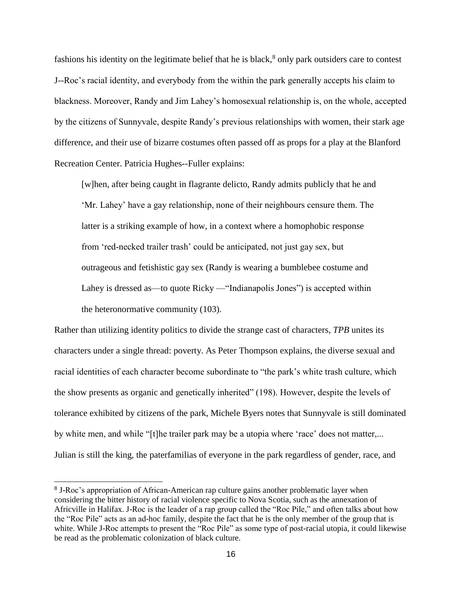fashions his identity on the legitimate belief that he is black,<sup>8</sup> only park outsiders care to contest J--Roc's racial identity, and everybody from the within the park generally accepts his claim to blackness. Moreover, Randy and Jim Lahey's homosexual relationship is, on the whole, accepted by the citizens of Sunnyvale, despite Randy's previous relationships with women, their stark age difference, and their use of bizarre costumes often passed off as props for a play at the Blanford Recreation Center. Patricia Hughes--Fuller explains:

[w]hen, after being caught in flagrante delicto, Randy admits publicly that he and 'Mr. Lahey' have a gay relationship, none of their neighbours censure them. The latter is a striking example of how, in a context where a homophobic response from 'red-necked trailer trash' could be anticipated, not just gay sex, but outrageous and fetishistic gay sex (Randy is wearing a bumblebee costume and Lahey is dressed as—to quote Ricky — "Indianapolis Jones") is accepted within the heteronormative community (103).

Rather than utilizing identity politics to divide the strange cast of characters, *TPB* unites its characters under a single thread: poverty. As Peter Thompson explains, the diverse sexual and racial identities of each character become subordinate to "the park's white trash culture, which the show presents as organic and genetically inherited" (198). However, despite the levels of tolerance exhibited by citizens of the park, Michele Byers notes that Sunnyvale is still dominated by white men, and while "[t]he trailer park may be a utopia where 'race' does not matter,... Julian is still the king, the paterfamilias of everyone in the park regardless of gender, race, and

<sup>&</sup>lt;sup>8</sup> J-Roc's appropriation of African-American rap culture gains another problematic layer when considering the bitter history of racial violence specific to Nova Scotia, such as the annexation of Africville in Halifax. J-Roc is the leader of a rap group called the "Roc Pile," and often talks about how the "Roc Pile" acts as an ad-hoc family, despite the fact that he is the only member of the group that is white. While J-Roc attempts to present the "Roc Pile" as some type of post-racial utopia, it could likewise be read as the problematic colonization of black culture.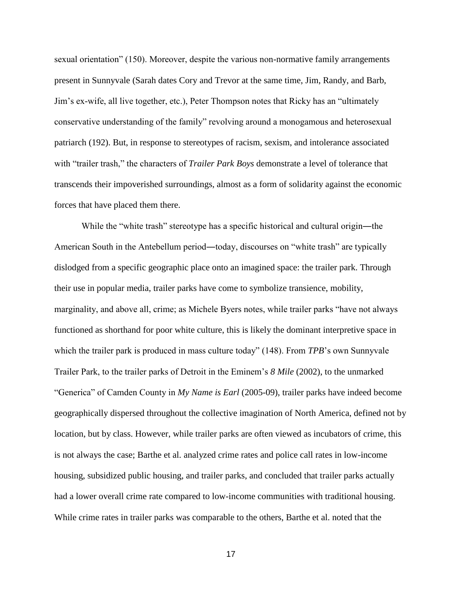sexual orientation" (150). Moreover, despite the various non-normative family arrangements present in Sunnyvale (Sarah dates Cory and Trevor at the same time, Jim, Randy, and Barb, Jim's ex-wife, all live together, etc.), Peter Thompson notes that Ricky has an "ultimately conservative understanding of the family" revolving around a monogamous and heterosexual patriarch (192). But, in response to stereotypes of racism, sexism, and intolerance associated with "trailer trash," the characters of *Trailer Park Boys* demonstrate a level of tolerance that transcends their impoverished surroundings, almost as a form of solidarity against the economic forces that have placed them there.

While the "white trash" stereotype has a specific historical and cultural origin—the American South in the Antebellum period—today, discourses on "white trash" are typically dislodged from a specific geographic place onto an imagined space: the trailer park. Through their use in popular media, trailer parks have come to symbolize transience, mobility, marginality, and above all, crime; as Michele Byers notes, while trailer parks "have not always functioned as shorthand for poor white culture, this is likely the dominant interpretive space in which the trailer park is produced in mass culture today" (148). From *TPB*'s own Sunnyvale Trailer Park, to the trailer parks of Detroit in the Eminem's *8 Mile* (2002), to the unmarked "Generica" of Camden County in *My Name is Earl* (2005-09), trailer parks have indeed become geographically dispersed throughout the collective imagination of North America, defined not by location, but by class. However, while trailer parks are often viewed as incubators of crime, this is not always the case; Barthe et al. analyzed crime rates and police call rates in low-income housing, subsidized public housing, and trailer parks, and concluded that trailer parks actually had a lower overall crime rate compared to low-income communities with traditional housing. While crime rates in trailer parks was comparable to the others, Barthe et al. noted that the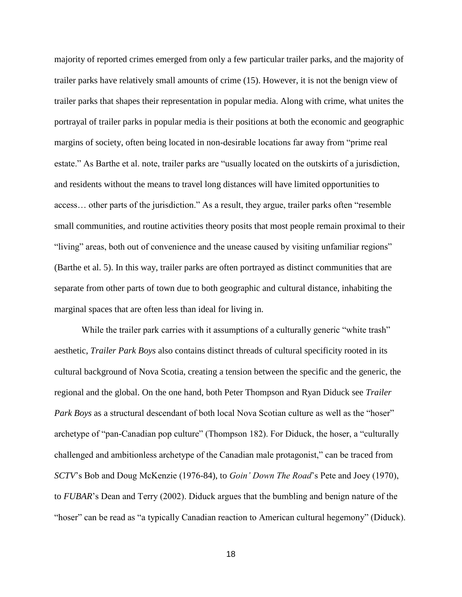majority of reported crimes emerged from only a few particular trailer parks, and the majority of trailer parks have relatively small amounts of crime (15). However, it is not the benign view of trailer parks that shapes their representation in popular media. Along with crime, what unites the portrayal of trailer parks in popular media is their positions at both the economic and geographic margins of society, often being located in non-desirable locations far away from "prime real estate." As Barthe et al. note, trailer parks are "usually located on the outskirts of a jurisdiction, and residents without the means to travel long distances will have limited opportunities to access… other parts of the jurisdiction." As a result, they argue, trailer parks often "resemble small communities, and routine activities theory posits that most people remain proximal to their "living" areas, both out of convenience and the unease caused by visiting unfamiliar regions" (Barthe et al. 5). In this way, trailer parks are often portrayed as distinct communities that are separate from other parts of town due to both geographic and cultural distance, inhabiting the marginal spaces that are often less than ideal for living in.

While the trailer park carries with it assumptions of a culturally generic "white trash" aesthetic, *Trailer Park Boys* also contains distinct threads of cultural specificity rooted in its cultural background of Nova Scotia, creating a tension between the specific and the generic, the regional and the global. On the one hand, both Peter Thompson and Ryan Diduck see *Trailer Park Boys* as a structural descendant of both local Nova Scotian culture as well as the "hoser" archetype of "pan-Canadian pop culture" (Thompson 182). For Diduck, the hoser, a "culturally challenged and ambitionless archetype of the Canadian male protagonist," can be traced from *SCTV*'s Bob and Doug McKenzie (1976-84), to *Goin' Down The Road*'s Pete and Joey (1970), to *FUBAR*'s Dean and Terry (2002). Diduck argues that the bumbling and benign nature of the "hoser" can be read as "a typically Canadian reaction to American cultural hegemony" (Diduck).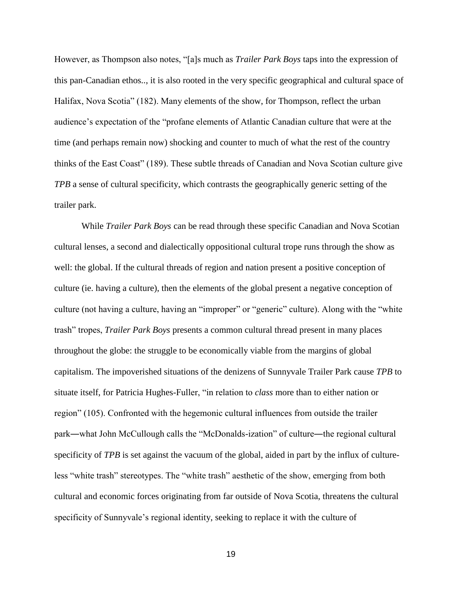However, as Thompson also notes, "[a]s much as *Trailer Park Boys* taps into the expression of this pan-Canadian ethos.., it is also rooted in the very specific geographical and cultural space of Halifax, Nova Scotia" (182). Many elements of the show, for Thompson, reflect the urban audience's expectation of the "profane elements of Atlantic Canadian culture that were at the time (and perhaps remain now) shocking and counter to much of what the rest of the country thinks of the East Coast" (189). These subtle threads of Canadian and Nova Scotian culture give *TPB* a sense of cultural specificity, which contrasts the geographically generic setting of the trailer park.

While *Trailer Park Boys* can be read through these specific Canadian and Nova Scotian cultural lenses, a second and dialectically oppositional cultural trope runs through the show as well: the global. If the cultural threads of region and nation present a positive conception of culture (ie. having a culture), then the elements of the global present a negative conception of culture (not having a culture, having an "improper" or "generic" culture). Along with the "white trash" tropes, *Trailer Park Boys* presents a common cultural thread present in many places throughout the globe: the struggle to be economically viable from the margins of global capitalism. The impoverished situations of the denizens of Sunnyvale Trailer Park cause *TPB* to situate itself, for Patricia Hughes-Fuller, "in relation to *class* more than to either nation or region" (105). Confronted with the hegemonic cultural influences from outside the trailer park―what John McCullough calls the "McDonalds-ization" of culture―the regional cultural specificity of *TPB* is set against the vacuum of the global, aided in part by the influx of cultureless "white trash" stereotypes. The "white trash" aesthetic of the show, emerging from both cultural and economic forces originating from far outside of Nova Scotia, threatens the cultural specificity of Sunnyvale's regional identity, seeking to replace it with the culture of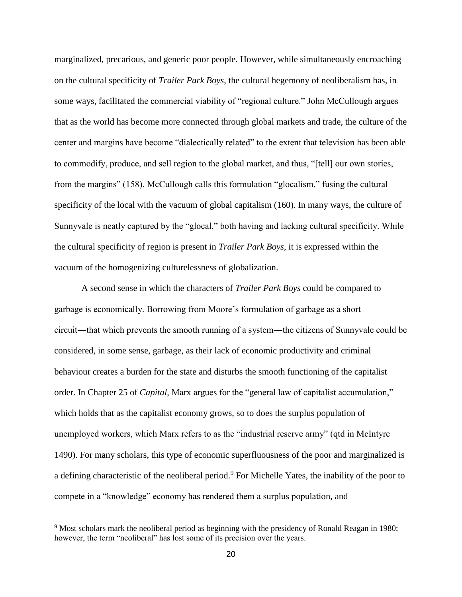marginalized, precarious, and generic poor people. However, while simultaneously encroaching on the cultural specificity of *Trailer Park Boys*, the cultural hegemony of neoliberalism has, in some ways, facilitated the commercial viability of "regional culture." John McCullough argues that as the world has become more connected through global markets and trade, the culture of the center and margins have become "dialectically related" to the extent that television has been able to commodify, produce, and sell region to the global market, and thus, "[tell] our own stories, from the margins" (158). McCullough calls this formulation "glocalism," fusing the cultural specificity of the local with the vacuum of global capitalism (160). In many ways, the culture of Sunnyvale is neatly captured by the "glocal," both having and lacking cultural specificity. While the cultural specificity of region is present in *Trailer Park Boys*, it is expressed within the vacuum of the homogenizing culturelessness of globalization.

A second sense in which the characters of *Trailer Park Boys* could be compared to garbage is economically. Borrowing from Moore's formulation of garbage as a short circuit―that which prevents the smooth running of a system―the citizens of Sunnyvale could be considered, in some sense, garbage, as their lack of economic productivity and criminal behaviour creates a burden for the state and disturbs the smooth functioning of the capitalist order. In Chapter 25 of *Capital*, Marx argues for the "general law of capitalist accumulation," which holds that as the capitalist economy grows, so to does the surplus population of unemployed workers, which Marx refers to as the "industrial reserve army" (qtd in McIntyre 1490). For many scholars, this type of economic superfluousness of the poor and marginalized is a defining characteristic of the neoliberal period.<sup>9</sup> For Michelle Yates, the inability of the poor to compete in a "knowledge" economy has rendered them a surplus population, and

<sup>&</sup>lt;sup>9</sup> Most scholars mark the neoliberal period as beginning with the presidency of Ronald Reagan in 1980; however, the term "neoliberal" has lost some of its precision over the years.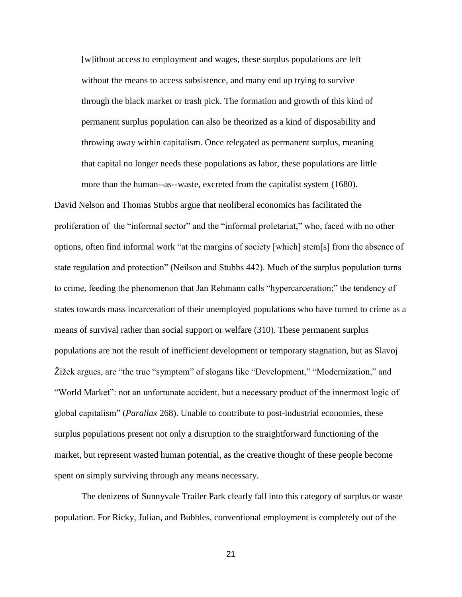[w]ithout access to employment and wages, these surplus populations are left without the means to access subsistence, and many end up trying to survive through the black market or trash pick. The formation and growth of this kind of permanent surplus population can also be theorized as a kind of disposability and throwing away within capitalism. Once relegated as permanent surplus, meaning that capital no longer needs these populations as labor, these populations are little more than the human--as--waste, excreted from the capitalist system (1680).

David Nelson and Thomas Stubbs argue that neoliberal economics has facilitated the proliferation of the "informal sector" and the "informal proletariat," who, faced with no other options, often find informal work "at the margins of society [which] stem[s] from the absence of state regulation and protection" (Neilson and Stubbs 442). Much of the surplus population turns to crime, feeding the phenomenon that Jan Rehmann calls "hypercarceration;" the tendency of states towards mass incarceration of their unemployed populations who have turned to crime as a means of survival rather than social support or welfare (310). These permanent surplus populations are not the result of inefficient development or temporary stagnation, but as Slavoj Žižek argues, are "the true "symptom" of slogans like "Development," "Modernization," and "World Market": not an unfortunate accident, but a necessary product of the innermost logic of global capitalism" (*Parallax* 268). Unable to contribute to post-industrial economies, these surplus populations present not only a disruption to the straightforward functioning of the market, but represent wasted human potential, as the creative thought of these people become spent on simply surviving through any means necessary.

The denizens of Sunnyvale Trailer Park clearly fall into this category of surplus or waste population. For Ricky, Julian, and Bubbles, conventional employment is completely out of the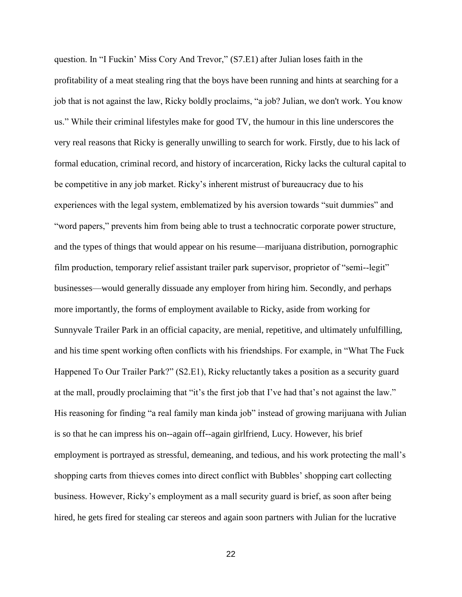question. In "I Fuckin' Miss Cory And Trevor," (S7.E1) after Julian loses faith in the profitability of a meat stealing ring that the boys have been running and hints at searching for a job that is not against the law, Ricky boldly proclaims, "a job? Julian, we don't work. You know us." While their criminal lifestyles make for good TV, the humour in this line underscores the very real reasons that Ricky is generally unwilling to search for work. Firstly, due to his lack of formal education, criminal record, and history of incarceration, Ricky lacks the cultural capital to be competitive in any job market. Ricky's inherent mistrust of bureaucracy due to his experiences with the legal system, emblematized by his aversion towards "suit dummies" and "word papers," prevents him from being able to trust a technocratic corporate power structure, and the types of things that would appear on his resume—marijuana distribution, pornographic film production, temporary relief assistant trailer park supervisor, proprietor of "semi-legit" businesses—would generally dissuade any employer from hiring him. Secondly, and perhaps more importantly, the forms of employment available to Ricky, aside from working for Sunnyvale Trailer Park in an official capacity, are menial, repetitive, and ultimately unfulfilling, and his time spent working often conflicts with his friendships. For example, in "What The Fuck Happened To Our Trailer Park?" (S2.E1), Ricky reluctantly takes a position as a security guard at the mall, proudly proclaiming that "it's the first job that I've had that's not against the law." His reasoning for finding "a real family man kinda job" instead of growing marijuana with Julian is so that he can impress his on--again off--again girlfriend, Lucy. However, his brief employment is portrayed as stressful, demeaning, and tedious, and his work protecting the mall's shopping carts from thieves comes into direct conflict with Bubbles' shopping cart collecting business. However, Ricky's employment as a mall security guard is brief, as soon after being hired, he gets fired for stealing car stereos and again soon partners with Julian for the lucrative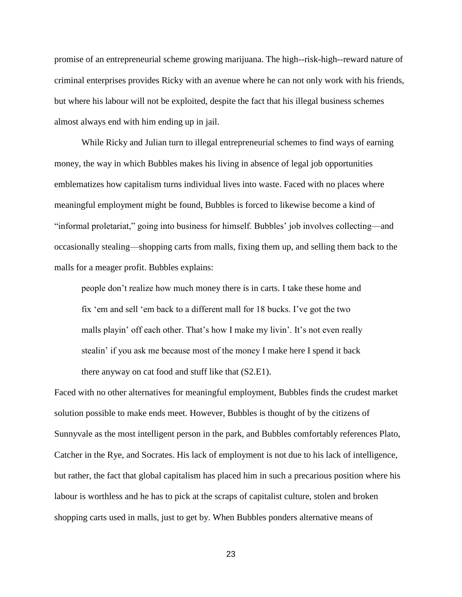promise of an entrepreneurial scheme growing marijuana. The high--risk-high--reward nature of criminal enterprises provides Ricky with an avenue where he can not only work with his friends, but where his labour will not be exploited, despite the fact that his illegal business schemes almost always end with him ending up in jail.

While Ricky and Julian turn to illegal entrepreneurial schemes to find ways of earning money, the way in which Bubbles makes his living in absence of legal job opportunities emblematizes how capitalism turns individual lives into waste. Faced with no places where meaningful employment might be found, Bubbles is forced to likewise become a kind of "informal proletariat," going into business for himself. Bubbles' job involves collecting—and occasionally stealing—shopping carts from malls, fixing them up, and selling them back to the malls for a meager profit. Bubbles explains:

people don't realize how much money there is in carts. I take these home and fix 'em and sell 'em back to a different mall for 18 bucks. I've got the two malls playin' off each other. That's how I make my livin'. It's not even really stealin' if you ask me because most of the money I make here I spend it back there anyway on cat food and stuff like that (S2.E1).

Faced with no other alternatives for meaningful employment, Bubbles finds the crudest market solution possible to make ends meet. However, Bubbles is thought of by the citizens of Sunnyvale as the most intelligent person in the park, and Bubbles comfortably references Plato, Catcher in the Rye, and Socrates. His lack of employment is not due to his lack of intelligence, but rather, the fact that global capitalism has placed him in such a precarious position where his labour is worthless and he has to pick at the scraps of capitalist culture, stolen and broken shopping carts used in malls, just to get by. When Bubbles ponders alternative means of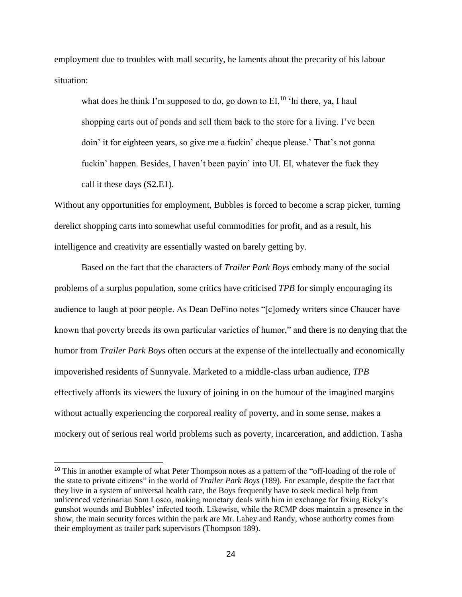employment due to troubles with mall security, he laments about the precarity of his labour situation:

what does he think I'm supposed to do, go down to  $EI<sub>10</sub>$ <sup>to</sup> thi there, ya, I haul shopping carts out of ponds and sell them back to the store for a living. I've been doin' it for eighteen years, so give me a fuckin' cheque please.' That's not gonna fuckin' happen. Besides, I haven't been payin' into UI. EI, whatever the fuck they call it these days (S2.E1).

Without any opportunities for employment, Bubbles is forced to become a scrap picker, turning derelict shopping carts into somewhat useful commodities for profit, and as a result, his intelligence and creativity are essentially wasted on barely getting by.

Based on the fact that the characters of *Trailer Park Boys* embody many of the social problems of a surplus population, some critics have criticised *TPB* for simply encouraging its audience to laugh at poor people. As Dean DeFino notes "[c]omedy writers since Chaucer have known that poverty breeds its own particular varieties of humor," and there is no denying that the humor from *Trailer Park Boys* often occurs at the expense of the intellectually and economically impoverished residents of Sunnyvale. Marketed to a middle-class urban audience, *TPB* effectively affords its viewers the luxury of joining in on the humour of the imagined margins without actually experiencing the corporeal reality of poverty, and in some sense, makes a mockery out of serious real world problems such as poverty, incarceration, and addiction. Tasha

 $\overline{a}$ 

<sup>&</sup>lt;sup>10</sup> This in another example of what Peter Thompson notes as a pattern of the "off-loading of the role of the state to private citizens" in the world of *Trailer Park Boys* (189). For example, despite the fact that they live in a system of universal health care, the Boys frequently have to seek medical help from unlicenced veterinarian Sam Losco, making monetary deals with him in exchange for fixing Ricky's gunshot wounds and Bubbles' infected tooth. Likewise, while the RCMP does maintain a presence in the show, the main security forces within the park are Mr. Lahey and Randy, whose authority comes from their employment as trailer park supervisors (Thompson 189).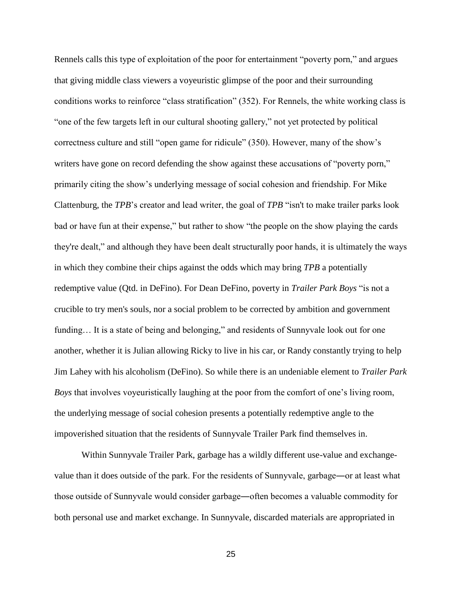Rennels calls this type of exploitation of the poor for entertainment "poverty porn," and argues that giving middle class viewers a voyeuristic glimpse of the poor and their surrounding conditions works to reinforce "class stratification" (352). For Rennels, the white working class is "one of the few targets left in our cultural shooting gallery," not yet protected by political correctness culture and still "open game for ridicule" (350). However, many of the show's writers have gone on record defending the show against these accusations of "poverty porn," primarily citing the show's underlying message of social cohesion and friendship. For Mike Clattenburg, the *TPB*'s creator and lead writer, the goal of *TPB* "isn't to make trailer parks look bad or have fun at their expense," but rather to show "the people on the show playing the cards they're dealt," and although they have been dealt structurally poor hands, it is ultimately the ways in which they combine their chips against the odds which may bring *TPB* a potentially redemptive value (Qtd. in DeFino). For Dean DeFino, poverty in *Trailer Park Boys* "is not a crucible to try men's souls, nor a social problem to be corrected by ambition and government funding... It is a state of being and belonging," and residents of Sunnyvale look out for one another, whether it is Julian allowing Ricky to live in his car, or Randy constantly trying to help Jim Lahey with his alcoholism (DeFino). So while there is an undeniable element to *Trailer Park Boys* that involves voyeuristically laughing at the poor from the comfort of one's living room, the underlying message of social cohesion presents a potentially redemptive angle to the impoverished situation that the residents of Sunnyvale Trailer Park find themselves in.

Within Sunnyvale Trailer Park, garbage has a wildly different use-value and exchangevalue than it does outside of the park. For the residents of Sunnyvale, garbage―or at least what those outside of Sunnyvale would consider garbage―often becomes a valuable commodity for both personal use and market exchange. In Sunnyvale, discarded materials are appropriated in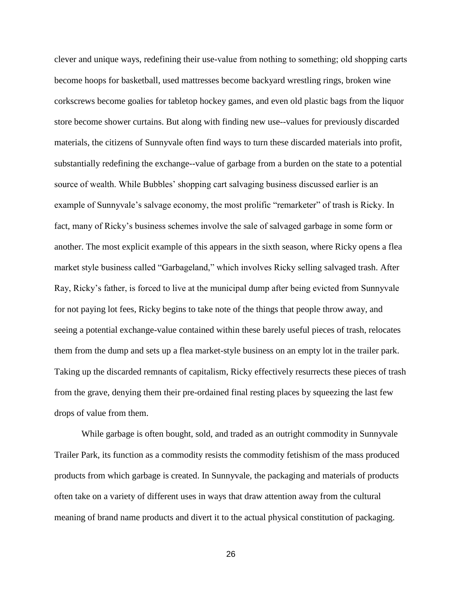clever and unique ways, redefining their use-value from nothing to something; old shopping carts become hoops for basketball, used mattresses become backyard wrestling rings, broken wine corkscrews become goalies for tabletop hockey games, and even old plastic bags from the liquor store become shower curtains. But along with finding new use--values for previously discarded materials, the citizens of Sunnyvale often find ways to turn these discarded materials into profit, substantially redefining the exchange--value of garbage from a burden on the state to a potential source of wealth. While Bubbles' shopping cart salvaging business discussed earlier is an example of Sunnyvale's salvage economy, the most prolific "remarketer" of trash is Ricky. In fact, many of Ricky's business schemes involve the sale of salvaged garbage in some form or another. The most explicit example of this appears in the sixth season, where Ricky opens a flea market style business called "Garbageland," which involves Ricky selling salvaged trash. After Ray, Ricky's father, is forced to live at the municipal dump after being evicted from Sunnyvale for not paying lot fees, Ricky begins to take note of the things that people throw away, and seeing a potential exchange-value contained within these barely useful pieces of trash, relocates them from the dump and sets up a flea market-style business on an empty lot in the trailer park. Taking up the discarded remnants of capitalism, Ricky effectively resurrects these pieces of trash from the grave, denying them their pre-ordained final resting places by squeezing the last few drops of value from them.

While garbage is often bought, sold, and traded as an outright commodity in Sunnyvale Trailer Park, its function as a commodity resists the commodity fetishism of the mass produced products from which garbage is created. In Sunnyvale, the packaging and materials of products often take on a variety of different uses in ways that draw attention away from the cultural meaning of brand name products and divert it to the actual physical constitution of packaging.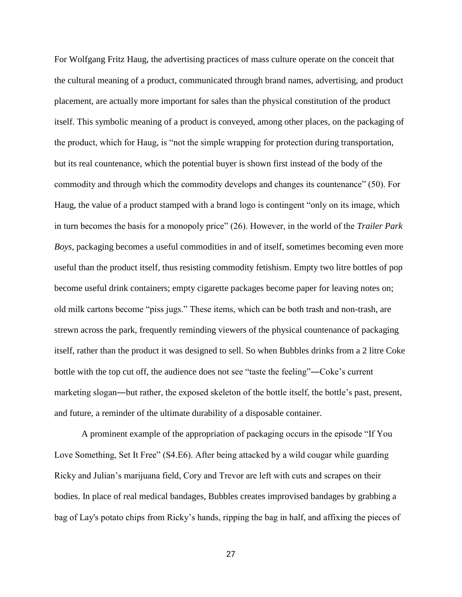For Wolfgang Fritz Haug, the advertising practices of mass culture operate on the conceit that the cultural meaning of a product, communicated through brand names, advertising, and product placement, are actually more important for sales than the physical constitution of the product itself. This symbolic meaning of a product is conveyed, among other places, on the packaging of the product, which for Haug, is "not the simple wrapping for protection during transportation, but its real countenance, which the potential buyer is shown first instead of the body of the commodity and through which the commodity develops and changes its countenance" (50). For Haug, the value of a product stamped with a brand logo is contingent "only on its image, which in turn becomes the basis for a monopoly price" (26). However, in the world of the *Trailer Park Boys*, packaging becomes a useful commodities in and of itself, sometimes becoming even more useful than the product itself, thus resisting commodity fetishism. Empty two litre bottles of pop become useful drink containers; empty cigarette packages become paper for leaving notes on; old milk cartons become "piss jugs." These items, which can be both trash and non-trash, are strewn across the park, frequently reminding viewers of the physical countenance of packaging itself, rather than the product it was designed to sell. So when Bubbles drinks from a 2 litre Coke bottle with the top cut off, the audience does not see "taste the feeling"―Coke's current marketing slogan―but rather, the exposed skeleton of the bottle itself, the bottle's past, present, and future, a reminder of the ultimate durability of a disposable container.

A prominent example of the appropriation of packaging occurs in the episode "If You Love Something, Set It Free" (S4.E6). After being attacked by a wild cougar while guarding Ricky and Julian's marijuana field, Cory and Trevor are left with cuts and scrapes on their bodies. In place of real medical bandages, Bubbles creates improvised bandages by grabbing a bag of Lay's potato chips from Ricky's hands, ripping the bag in half, and affixing the pieces of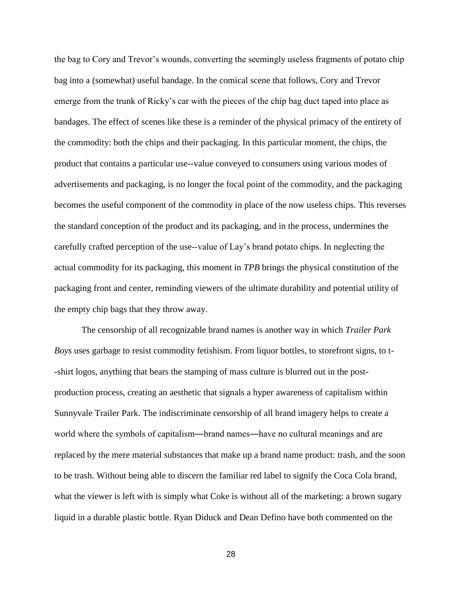the bag to Cory and Trevor's wounds, converting the seemingly useless fragments of potato chip bag into a (somewhat) useful bandage. In the comical scene that follows, Cory and Trevor emerge from the trunk of Ricky's car with the pieces of the chip bag duct taped into place as bandages. The effect of scenes like these is a reminder of the physical primacy of the entirety of the commodity: both the chips and their packaging. In this particular moment, the chips, the product that contains a particular use--value conveyed to consumers using various modes of advertisements and packaging, is no longer the focal point of the commodity, and the packaging becomes the useful component of the commodity in place of the now useless chips. This reverses the standard conception of the product and its packaging, and in the process, undermines the carefully crafted perception of the use-value of Lay's brand potato chips. In neglecting the actual commodity for its packaging, this moment in *TPB* brings the physical constitution of the packaging front and center, reminding viewers of the ultimate durability and potential utility of the empty chip bags that they throw away.

The censorship of all recognizable brand names is another way in which *Trailer Park Boys* uses garbage to resist commodity fetishism. From liquor bottles, to storefront signs, to t- -shirt logos, anything that bears the stamping of mass culture is blurred out in the postproduction process, creating an aesthetic that signals a hyper awareness of capitalism within Sunnyvale Trailer Park. The indiscriminate censorship of all brand imagery helps to create a world where the symbols of capitalism—brand names—have no cultural meanings and are replaced by the mere material substances that make up a brand name product: trash, and the soon to be trash. Without being able to discern the familiar red label to signify the Coca Cola brand, what the viewer is left with is simply what Coke is without all of the marketing: a brown sugary liquid in a durable plastic bottle. Ryan Diduck and Dean Defino have both commented on the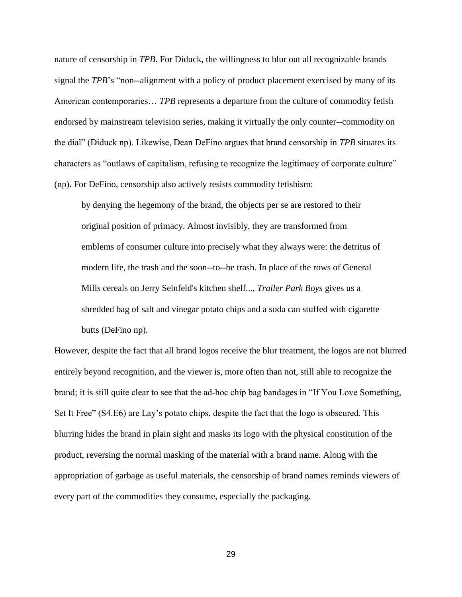nature of censorship in *TPB*. For Diduck, the willingness to blur out all recognizable brands signal the *TPB*'s "non--alignment with a policy of product placement exercised by many of its American contemporaries… *TPB* represents a departure from the culture of commodity fetish endorsed by mainstream television series, making it virtually the only counter--commodity on the dial" (Diduck np). Likewise, Dean DeFino argues that brand censorship in *TPB* situates its characters as "outlaws of capitalism, refusing to recognize the legitimacy of corporate culture" (np). For DeFino, censorship also actively resists commodity fetishism:

by denying the hegemony of the brand, the objects per se are restored to their original position of primacy. Almost invisibly, they are transformed from emblems of consumer culture into precisely what they always were: the detritus of modern life, the trash and the soon--to--be trash. In place of the rows of General Mills cereals on Jerry Seinfeld's kitchen shelf..., *Trailer Park Boys* gives us a shredded bag of salt and vinegar potato chips and a soda can stuffed with cigarette butts (DeFino np).

However, despite the fact that all brand logos receive the blur treatment, the logos are not blurred entirely beyond recognition, and the viewer is, more often than not, still able to recognize the brand; it is still quite clear to see that the ad-hoc chip bag bandages in "If You Love Something, Set It Free" (S4.E6) are Lay's potato chips, despite the fact that the logo is obscured. This blurring hides the brand in plain sight and masks its logo with the physical constitution of the product, reversing the normal masking of the material with a brand name. Along with the appropriation of garbage as useful materials, the censorship of brand names reminds viewers of every part of the commodities they consume, especially the packaging.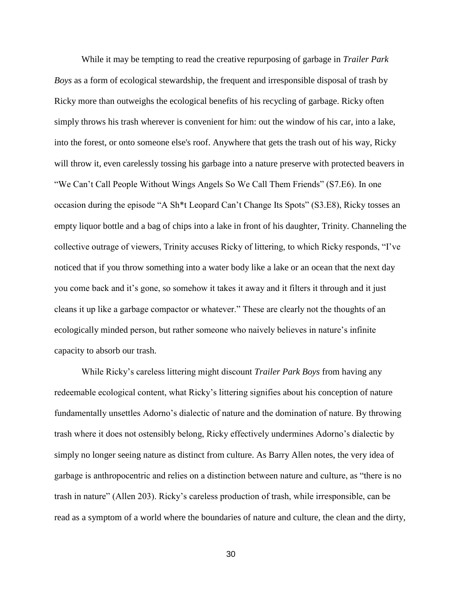While it may be tempting to read the creative repurposing of garbage in *Trailer Park Boys* as a form of ecological stewardship, the frequent and irresponsible disposal of trash by Ricky more than outweighs the ecological benefits of his recycling of garbage. Ricky often simply throws his trash wherever is convenient for him: out the window of his car, into a lake, into the forest, or onto someone else's roof. Anywhere that gets the trash out of his way, Ricky will throw it, even carelessly tossing his garbage into a nature preserve with protected beavers in "We Can't Call People Without Wings Angels So We Call Them Friends" (S7.E6). In one occasion during the episode "A Sh\*t Leopard Can't Change Its Spots" (S3.E8), Ricky tosses an empty liquor bottle and a bag of chips into a lake in front of his daughter, Trinity. Channeling the collective outrage of viewers, Trinity accuses Ricky of littering, to which Ricky responds, "I've noticed that if you throw something into a water body like a lake or an ocean that the next day you come back and it's gone, so somehow it takes it away and it filters it through and it just cleans it up like a garbage compactor or whatever." These are clearly not the thoughts of an ecologically minded person, but rather someone who naively believes in nature's infinite capacity to absorb our trash.

While Ricky's careless littering might discount *Trailer Park Boys* from having any redeemable ecological content, what Ricky's littering signifies about his conception of nature fundamentally unsettles Adorno's dialectic of nature and the domination of nature. By throwing trash where it does not ostensibly belong, Ricky effectively undermines Adorno's dialectic by simply no longer seeing nature as distinct from culture. As Barry Allen notes, the very idea of garbage is anthropocentric and relies on a distinction between nature and culture, as "there is no trash in nature" (Allen 203). Ricky's careless production of trash, while irresponsible, can be read as a symptom of a world where the boundaries of nature and culture, the clean and the dirty,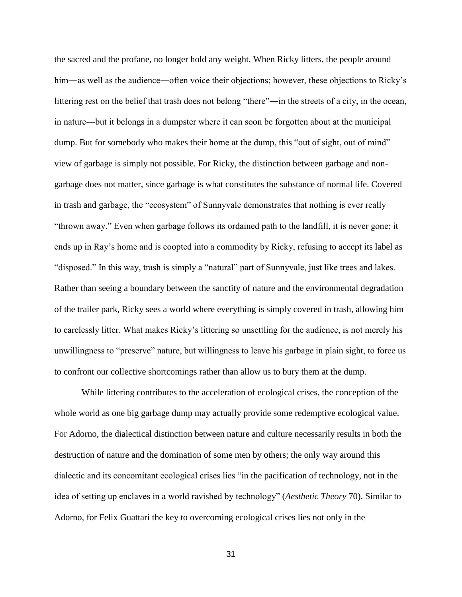the sacred and the profane, no longer hold any weight. When Ricky litters, the people around him—as well as the audience—often voice their objections; however, these objections to Ricky's littering rest on the belief that trash does not belong "there"―in the streets of a city, in the ocean, in nature―but it belongs in a dumpster where it can soon be forgotten about at the municipal dump. But for somebody who makes their home at the dump, this "out of sight, out of mind" view of garbage is simply not possible. For Ricky, the distinction between garbage and nongarbage does not matter, since garbage is what constitutes the substance of normal life. Covered in trash and garbage, the "ecosystem" of Sunnyvale demonstrates that nothing is ever really "thrown away." Even when garbage follows its ordained path to the landfill, it is never gone; it ends up in Ray's home and is coopted into a commodity by Ricky, refusing to accept its label as "disposed." In this way, trash is simply a "natural" part of Sunnyvale, just like trees and lakes. Rather than seeing a boundary between the sanctity of nature and the environmental degradation of the trailer park, Ricky sees a world where everything is simply covered in trash, allowing him to carelessly litter. What makes Ricky's littering so unsettling for the audience, is not merely his unwillingness to "preserve" nature, but willingness to leave his garbage in plain sight, to force us to confront our collective shortcomings rather than allow us to bury them at the dump.

While littering contributes to the acceleration of ecological crises, the conception of the whole world as one big garbage dump may actually provide some redemptive ecological value. For Adorno, the dialectical distinction between nature and culture necessarily results in both the destruction of nature and the domination of some men by others; the only way around this dialectic and its concomitant ecological crises lies "in the pacification of technology, not in the idea of setting up enclaves in a world ravished by technology" (*Aesthetic Theory* 70). Similar to Adorno, for Felix Guattari the key to overcoming ecological crises lies not only in the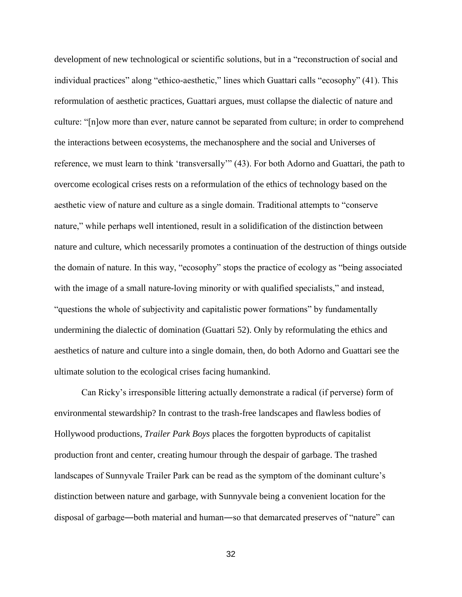development of new technological or scientific solutions, but in a "reconstruction of social and individual practices" along "ethico-aesthetic," lines which Guattari calls "ecosophy" (41). This reformulation of aesthetic practices, Guattari argues, must collapse the dialectic of nature and culture: "[n]ow more than ever, nature cannot be separated from culture; in order to comprehend the interactions between ecosystems, the mechanosphere and the social and Universes of reference, we must learn to think 'transversally'" (43). For both Adorno and Guattari, the path to overcome ecological crises rests on a reformulation of the ethics of technology based on the aesthetic view of nature and culture as a single domain. Traditional attempts to "conserve nature," while perhaps well intentioned, result in a solidification of the distinction between nature and culture, which necessarily promotes a continuation of the destruction of things outside the domain of nature. In this way, "ecosophy" stops the practice of ecology as "being associated with the image of a small nature-loving minority or with qualified specialists," and instead, "questions the whole of subjectivity and capitalistic power formations" by fundamentally undermining the dialectic of domination (Guattari 52). Only by reformulating the ethics and aesthetics of nature and culture into a single domain, then, do both Adorno and Guattari see the ultimate solution to the ecological crises facing humankind.

Can Ricky's irresponsible littering actually demonstrate a radical (if perverse) form of environmental stewardship? In contrast to the trash-free landscapes and flawless bodies of Hollywood productions, *Trailer Park Boys* places the forgotten byproducts of capitalist production front and center, creating humour through the despair of garbage. The trashed landscapes of Sunnyvale Trailer Park can be read as the symptom of the dominant culture's distinction between nature and garbage, with Sunnyvale being a convenient location for the disposal of garbage―both material and human―so that demarcated preserves of "nature" can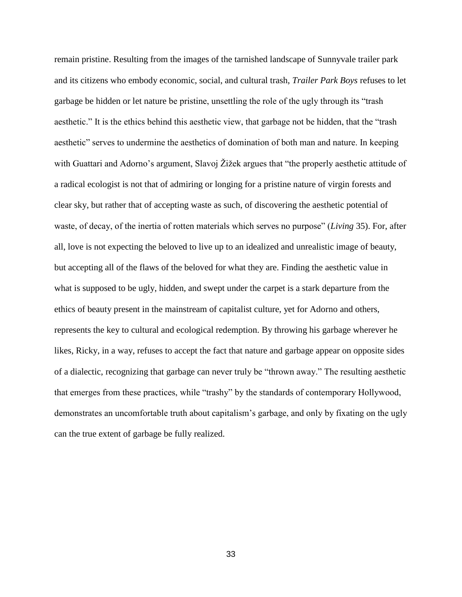remain pristine. Resulting from the images of the tarnished landscape of Sunnyvale trailer park and its citizens who embody economic, social, and cultural trash, *Trailer Park Boys* refuses to let garbage be hidden or let nature be pristine, unsettling the role of the ugly through its "trash aesthetic." It is the ethics behind this aesthetic view, that garbage not be hidden, that the "trash aesthetic" serves to undermine the aesthetics of domination of both man and nature. In keeping with Guattari and Adorno's argument, Slavoj Žižek argues that "the properly aesthetic attitude of a radical ecologist is not that of admiring or longing for a pristine nature of virgin forests and clear sky, but rather that of accepting waste as such, of discovering the aesthetic potential of waste, of decay, of the inertia of rotten materials which serves no purpose" (*Living* 35). For, after all, love is not expecting the beloved to live up to an idealized and unrealistic image of beauty, but accepting all of the flaws of the beloved for what they are. Finding the aesthetic value in what is supposed to be ugly, hidden, and swept under the carpet is a stark departure from the ethics of beauty present in the mainstream of capitalist culture, yet for Adorno and others, represents the key to cultural and ecological redemption. By throwing his garbage wherever he likes, Ricky, in a way, refuses to accept the fact that nature and garbage appear on opposite sides of a dialectic, recognizing that garbage can never truly be "thrown away." The resulting aesthetic that emerges from these practices, while "trashy" by the standards of contemporary Hollywood, demonstrates an uncomfortable truth about capitalism's garbage, and only by fixating on the ugly can the true extent of garbage be fully realized.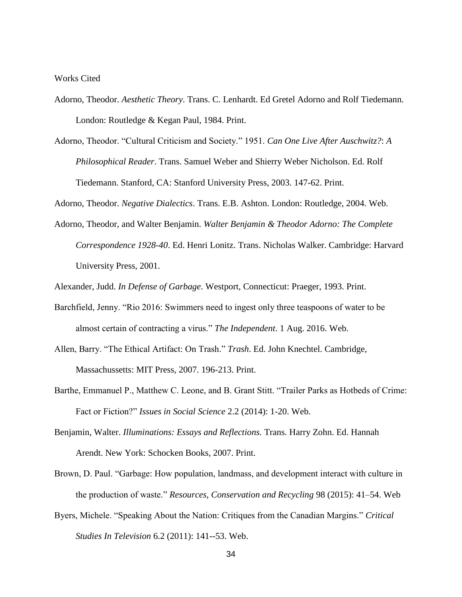#### Works Cited

- Adorno, Theodor. *Aesthetic Theory*. Trans. C. Lenhardt. Ed Gretel Adorno and Rolf Tiedemann. London: Routledge & Kegan Paul, 1984. Print.
- Adorno, Theodor. "Cultural Criticism and Society." 1951. *Can One Live After Auschwitz?*: *A Philosophical Reader*. Trans. Samuel Weber and Shierry Weber Nicholson. Ed. Rolf Tiedemann. Stanford, CA: Stanford University Press, 2003. 147-62. Print.

Adorno, Theodor. *Negative Dialectics*. Trans. E.B. Ashton. London: Routledge, 2004. Web.

Adorno, Theodor, and Walter Benjamin. *Walter Benjamin & Theodor Adorno: The Complete Correspondence 1928-40*. Ed. Henri Lonitz. Trans. Nicholas Walker. Cambridge: Harvard University Press, 2001.

Alexander, Judd. *In Defense of Garbage*. Westport, Connecticut: Praeger, 1993. Print.

- Barchfield, Jenny. "Rio 2016: Swimmers need to ingest only three teaspoons of water to be almost certain of contracting a virus." *The Independent*. 1 Aug. 2016. Web.
- Allen, Barry. "The Ethical Artifact: On Trash." *Trash*. Ed. John Knechtel. Cambridge, Massachussetts: MIT Press, 2007. 196-213. Print.
- Barthe, Emmanuel P., Matthew C. Leone, and B. Grant Stitt. "Trailer Parks as Hotbeds of Crime: Fact or Fiction?" *Issues in Social Science* 2.2 (2014): 1-20. Web.
- Benjamin, Walter. *Illuminations: Essays and Reflections.* Trans. Harry Zohn. Ed. Hannah Arendt. New York: Schocken Books, 2007. Print.
- Brown, D. Paul. "Garbage: How population, landmass, and development interact with culture in the production of waste." *Resources, Conservation and Recycling* 98 (2015): 41–54. Web
- Byers, Michele. "Speaking About the Nation: Critiques from the Canadian Margins." *Critical Studies In Television* 6.2 (2011): 141--53. Web.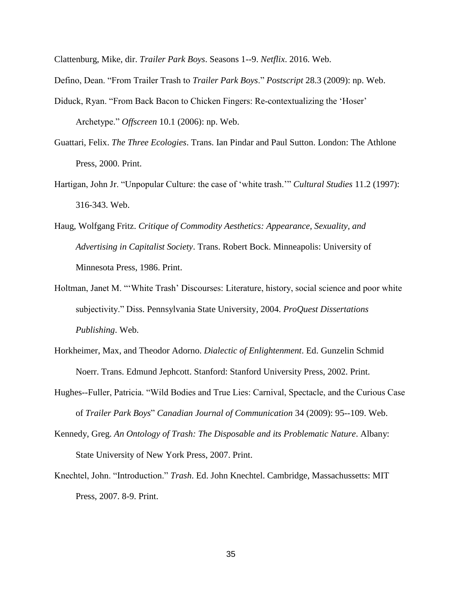Clattenburg, Mike, dir. *Trailer Park Boys*. Seasons 1--9. *Netflix*. 2016. Web.

Defino, Dean. "From Trailer Trash to *Trailer Park Boys*." *Postscript* 28.3 (2009): np. Web.

- Diduck, Ryan. "From Back Bacon to Chicken Fingers: Re-contextualizing the 'Hoser' Archetype." *Offscreen* 10.1 (2006): np. Web.
- Guattari, Felix. *The Three Ecologies*. Trans. Ian Pindar and Paul Sutton. London: The Athlone Press, 2000. Print.
- Hartigan, John Jr. "Unpopular Culture: the case of 'white trash.'" *Cultural Studies* 11.2 (1997): 316-343. Web.
- Haug, Wolfgang Fritz. *Critique of Commodity Aesthetics: Appearance, Sexuality, and Advertising in Capitalist Society*. Trans. Robert Bock. Minneapolis: University of Minnesota Press, 1986. Print.
- Holtman, Janet M. "'White Trash' Discourses: Literature, history, social science and poor white subjectivity." Diss. Pennsylvania State University, 2004. *ProQuest Dissertations Publishing*. Web.
- Horkheimer, Max, and Theodor Adorno. *Dialectic of Enlightenment*. Ed. Gunzelin Schmid Noerr. Trans. Edmund Jephcott. Stanford: Stanford University Press, 2002. Print.
- Hughes--Fuller, Patricia. "Wild Bodies and True Lies: Carnival, Spectacle, and the Curious Case of *Trailer Park Boys*" *Canadian Journal of Communication* 34 (2009): 95--109. Web.
- Kennedy, Greg. *An Ontology of Trash: The Disposable and its Problematic Nature*. Albany: State University of New York Press, 2007. Print.
- Knechtel, John. "Introduction." *Trash*. Ed. John Knechtel. Cambridge, Massachussetts: MIT Press, 2007. 8-9. Print.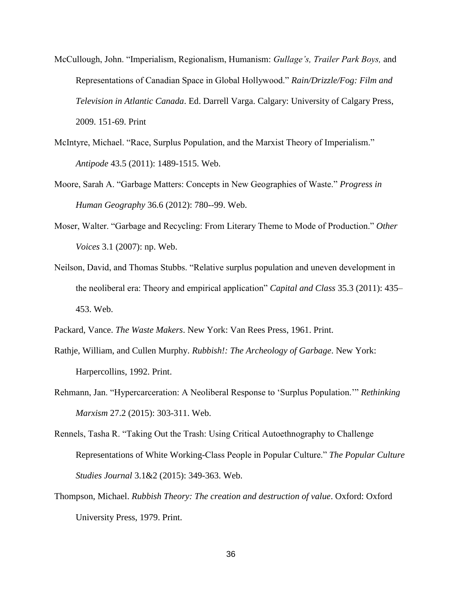- McCullough, John. "Imperialism, Regionalism, Humanism: *Gullage's, Trailer Park Boys,* and Representations of Canadian Space in Global Hollywood." *Rain/Drizzle/Fog: Film and Television in Atlantic Canada*. Ed. Darrell Varga. Calgary: University of Calgary Press, 2009. 151-69. Print
- McIntyre, Michael. "Race, Surplus Population, and the Marxist Theory of Imperialism." *Antipode* 43.5 (2011): 1489-1515. Web.
- Moore, Sarah A. "Garbage Matters: Concepts in New Geographies of Waste." *Progress in Human Geography* 36.6 (2012): 780--99. Web.
- Moser, Walter. "Garbage and Recycling: From Literary Theme to Mode of Production." *Other Voices* 3.1 (2007): np. Web.
- Neilson, David, and Thomas Stubbs. "Relative surplus population and uneven development in the neoliberal era: Theory and empirical application" *Capital and Class* 35.3 (2011): 435– 453. Web.

Packard, Vance. *The Waste Makers*. New York: Van Rees Press, 1961. Print.

- Rathje, William, and Cullen Murphy. *Rubbish!: The Archeology of Garbage*. New York: Harpercollins, 1992. Print.
- Rehmann, Jan. "Hypercarceration: A Neoliberal Response to 'Surplus Population.'" *Rethinking Marxism* 27.2 (2015): 303-311. Web.
- Rennels, Tasha R. "Taking Out the Trash: Using Critical Autoethnography to Challenge Representations of White Working-Class People in Popular Culture." *The Popular Culture Studies Journal* 3.1&2 (2015): 349-363. Web.
- Thompson, Michael. *Rubbish Theory: The creation and destruction of value*. Oxford: Oxford University Press, 1979. Print.